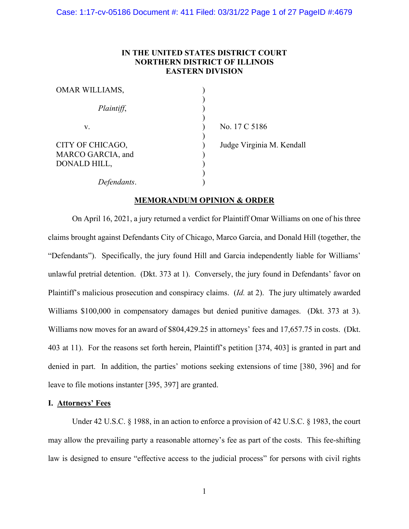# **IN THE UNITED STATES DISTRICT COURT NORTHERN DISTRICT OF ILLINOIS EASTERN DIVISION**

| <b>OMAR WILLIAMS,</b>                                 |                           |
|-------------------------------------------------------|---------------------------|
| Plaintiff,                                            |                           |
| V.                                                    | No. 17 C 5186             |
| CITY OF CHICAGO,<br>MARCO GARCIA, and<br>DONALD HILL, | Judge Virginia M. Kendall |
| Defendants.                                           |                           |

# **MEMORANDUM OPINION & ORDER**

On April 16, 2021, a jury returned a verdict for Plaintiff Omar Williams on one of his three claims brought against Defendants City of Chicago, Marco Garcia, and Donald Hill (together, the "Defendants"). Specifically, the jury found Hill and Garcia independently liable for Williams' unlawful pretrial detention. (Dkt. 373 at 1). Conversely, the jury found in Defendants' favor on Plaintiff's malicious prosecution and conspiracy claims. (*Id.* at 2). The jury ultimately awarded Williams \$100,000 in compensatory damages but denied punitive damages. (Dkt. 373 at 3). Williams now moves for an award of \$804,429.25 in attorneys' fees and 17,657.75 in costs. (Dkt.) 403 at 11). For the reasons set forth herein, Plaintiff's petition [374, 403] is granted in part and denied in part. In addition, the parties' motions seeking extensions of time [380, 396] and for leave to file motions instanter [395, 397] are granted.

### **I. Attorneys' Fees**

Under 42 U.S.C. § 1988, in an action to enforce a provision of 42 U.S.C. § 1983, the court may allow the prevailing party a reasonable attorney's fee as part of the costs. This fee-shifting law is designed to ensure "effective access to the judicial process" for persons with civil rights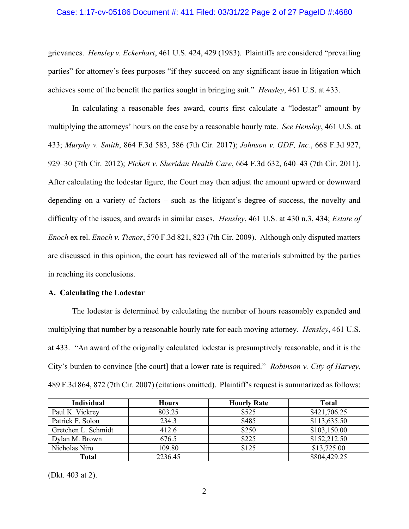#### Case: 1:17-cv-05186 Document #: 411 Filed: 03/31/22 Page 2 of 27 PageID #:4680

grievances. *Hensley v. Eckerhart*, 461 U.S. 424, 429 (1983). Plaintiffs are considered "prevailing parties" for attorney's fees purposes "if they succeed on any significant issue in litigation which achieves some of the benefit the parties sought in bringing suit." *Hensley*, 461 U.S. at 433.

In calculating a reasonable fees award, courts first calculate a "lodestar" amount by multiplying the attorneys' hours on the case by a reasonable hourly rate. *See Hensley*, 461 U.S. at 433; *Murphy v. Smith*, 864 F.3d 583, 586 (7th Cir. 2017); *Johnson v. GDF, Inc.*, 668 F.3d 927, 929–30 (7th Cir. 2012); *Pickett v. Sheridan Health Care*, 664 F.3d 632, 640–43 (7th Cir. 2011). After calculating the lodestar figure, the Court may then adjust the amount upward or downward depending on a variety of factors – such as the litigant's degree of success, the novelty and difficulty of the issues, and awards in similar cases. *Hensley*, 461 U.S. at 430 n.3, 434; *Estate of Enoch* ex rel. *Enoch v. Tienor*, 570 F.3d 821, 823 (7th Cir. 2009). Although only disputed matters are discussed in this opinion, the court has reviewed all of the materials submitted by the parties in reaching its conclusions.

#### **A. Calculating the Lodestar**

The lodestar is determined by calculating the number of hours reasonably expended and multiplying that number by a reasonable hourly rate for each moving attorney. *Hensley*, 461 U.S. at 433. "An award of the originally calculated lodestar is presumptively reasonable, and it is the City's burden to convince [the court] that a lower rate is required." *Robinson v. City of Harvey*, 489 F.3d 864, 872 (7th Cir. 2007) (citations omitted). Plaintiff's request is summarized as follows:

| <b>Individual</b>   | <b>Hours</b> | <b>Hourly Rate</b> | <b>Total</b> |
|---------------------|--------------|--------------------|--------------|
| Paul K. Vickrey     | 803.25       | \$525              | \$421,706.25 |
| Patrick F. Solon    | 234.3        | \$485              | \$113,635.50 |
| Gretchen L. Schmidt | 412.6        | \$250              | \$103,150.00 |
| Dylan M. Brown      | 676.5        | \$225              | \$152,212.50 |
| Nicholas Niro       | 109.80       | \$125              | \$13,725.00  |
| Total               | 2236.45      |                    | \$804,429.25 |

(Dkt. 403 at 2).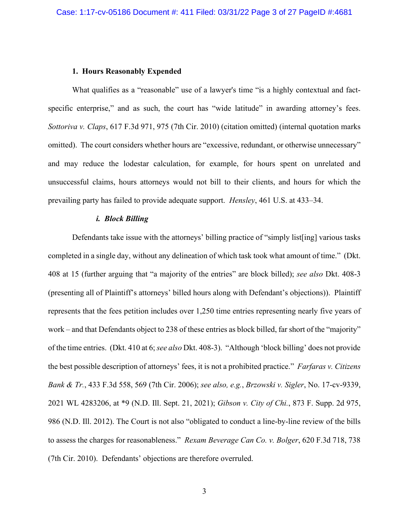#### **1. Hours Reasonably Expended**

What qualifies as a "reasonable" use of a lawyer's time "is a highly contextual and factspecific enterprise," and as such, the court has "wide latitude" in awarding attorney's fees. *Sottoriva v. Claps*, 617 F.3d 971, 975 (7th Cir. 2010) (citation omitted) (internal quotation marks omitted). The court considers whether hours are "excessive, redundant, or otherwise unnecessary" and may reduce the lodestar calculation, for example, for hours spent on unrelated and unsuccessful claims, hours attorneys would not bill to their clients, and hours for which the prevailing party has failed to provide adequate support. *Hensley*, 461 U.S. at 433–34.

### *i. Block Billing*

Defendants take issue with the attorneys' billing practice of "simply list[ing] various tasks completed in a single day, without any delineation of which task took what amount of time." (Dkt. 408 at 15 (further arguing that "a majority of the entries" are block billed); *see also* Dkt. 408-3 (presenting all of Plaintiff's attorneys' billed hours along with Defendant's objections)). Plaintiff represents that the fees petition includes over 1,250 time entries representing nearly five years of work – and that Defendants object to 238 of these entries as block billed, far short of the "majority" of the time entries. (Dkt. 410 at 6; *see also* Dkt. 408-3). "Although 'block billing' does not provide the best possible description of attorneys' fees, it is not a prohibited practice." *Farfaras v. Citizens Bank & Tr.*, 433 F.3d 558, 569 (7th Cir. 2006); *see also, e.g.*, *Brzowski v. Sigler*, No. 17-cv-9339, 2021 WL 4283206, at \*9 (N.D. Ill. Sept. 21, 2021); *Gibson v. City of Chi.*, 873 F. Supp. 2d 975, 986 (N.D. Ill. 2012). The Court is not also "obligated to conduct a line-by-line review of the bills to assess the charges for reasonableness." *Rexam Beverage Can Co. v. Bolger*, 620 F.3d 718, 738 (7th Cir. 2010). Defendants' objections are therefore overruled.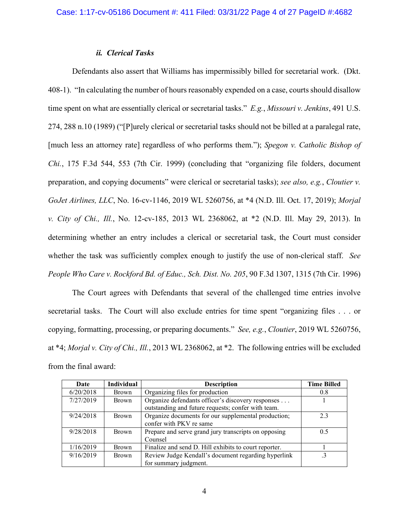### *ii. Clerical Tasks*

Defendants also assert that Williams has impermissibly billed for secretarial work. (Dkt. 408-1). "In calculating the number of hours reasonably expended on a case, courts should disallow time spent on what are essentially clerical or secretarial tasks." *E.g.*, *Missouri v. Jenkins*, 491 U.S. 274, 288 n.10 (1989) ("[P]urely clerical or secretarial tasks should not be billed at a paralegal rate, [much less an attorney rate] regardless of who performs them."); *Spegon v. Catholic Bishop of Chi.*, 175 F.3d 544, 553 (7th Cir. 1999) (concluding that "organizing file folders, document preparation, and copying documents" were clerical or secretarial tasks); *see also, e.g.*, *Cloutier v. GoJet Airlines, LLC*, No. 16-cv-1146, 2019 WL 5260756, at \*4 (N.D. Ill. Oct. 17, 2019); *Morjal v. City of Chi., Ill.*, No. 12-cv-185, 2013 WL 2368062, at \*2 (N.D. Ill. May 29, 2013). In determining whether an entry includes a clerical or secretarial task, the Court must consider whether the task was sufficiently complex enough to justify the use of non-clerical staff. *See People Who Care v. Rockford Bd. of Educ., Sch. Dist. No. 205*, 90 F.3d 1307, 1315 (7th Cir. 1996)

The Court agrees with Defendants that several of the challenged time entries involve secretarial tasks. The Court will also exclude entries for time spent "organizing files . . . or copying, formatting, processing, or preparing documents." *See, e.g.*, *Cloutier*, 2019 WL 5260756, at \*4; *Morjal v. City of Chi., Ill.*, 2013 WL 2368062, at \*2. The following entries will be excluded from the final award:

| Date      | <b>Individual</b> | <b>Description</b>                                                                                      | <b>Time Billed</b> |
|-----------|-------------------|---------------------------------------------------------------------------------------------------------|--------------------|
| 6/20/2018 | <b>Brown</b>      | Organizing files for production                                                                         | 0.8                |
| 7/27/2019 | Brown             | Organize defendants officer's discovery responses<br>outstanding and future requests; confer with team. |                    |
| 9/24/2018 | Brown             | Organize documents for our supplemental production;<br>confer with PKV re same                          | 23                 |
| 9/28/2018 | <b>Brown</b>      | Prepare and serve grand jury transcripts on opposing<br>Counsel                                         | 0.5                |
| 1/16/2019 | <b>Brown</b>      | Finalize and send D. Hill exhibits to court reporter.                                                   |                    |
| 9/16/2019 | <b>Brown</b>      | Review Judge Kendall's document regarding hyperlink<br>for summary judgment.                            |                    |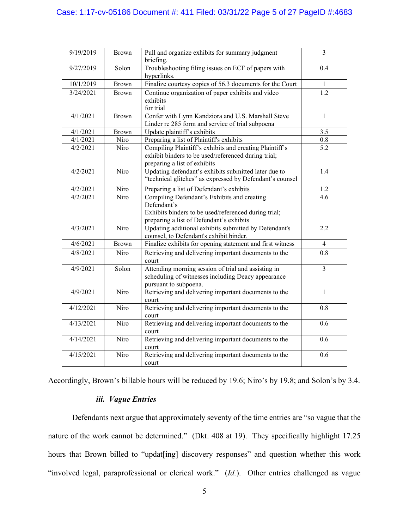# Case: 1:17-cv-05186 Document #: 411 Filed: 03/31/22 Page 5 of 27 PageID #:4683

| 9/19/2019 | <b>Brown</b> | Pull and organize exhibits for summary judgment<br>briefing.                                                                                                   | $\overline{3}$   |
|-----------|--------------|----------------------------------------------------------------------------------------------------------------------------------------------------------------|------------------|
| 9/27/2019 | Solon        | Troubleshooting filing issues on ECF of papers with<br>hyperlinks.                                                                                             | 0.4              |
| 10/1/2019 | <b>Brown</b> | Finalize courtesy copies of 56.3 documents for the Court                                                                                                       | 1                |
| 3/24/2021 | <b>Brown</b> | Continue organization of paper exhibits and video<br>exhibits<br>for trial                                                                                     | $\overline{1.2}$ |
| 4/1/2021  | Brown        | Confer with Lynn Kandziora and U.S. Marshall Steve<br>Linder re 285 form and service of trial subpoena                                                         | $\mathbf{1}$     |
| 4/1/2021  | Brown        | Update plaintiff's exhibits                                                                                                                                    | 3.5              |
| 4/1/2021  | Niro         | Preparing a list of Plaintiff's exhibits                                                                                                                       | 0.8              |
| 4/2/2021  | Niro         | Compiling Plaintiff's exhibits and creating Plaintiff's<br>exhibit binders to be used/referenced during trial;<br>preparing a list of exhibits                 | $\overline{5.2}$ |
| 4/2/2021  | Niro         | Updating defendant's exhibits submitted later due to<br>"technical glitches" as expressed by Defendant's counsel                                               | 1.4              |
| 4/2/2021  | Niro         | Preparing a list of Defendant's exhibits                                                                                                                       | 1.2              |
| 4/2/2021  | Niro         | Compiling Defendant's Exhibits and creating<br>Defendant's<br>Exhibits binders to be used/referenced during trial;<br>preparing a list of Defendant's exhibits | 4.6              |
| 4/3/2021  | Niro         | Updating additional exhibits submitted by Defendant's<br>counsel, to Defendant's exhibit binder.                                                               | 2.2              |
| 4/6/2021  | <b>Brown</b> | Finalize exhibits for opening statement and first witness                                                                                                      | 4                |
| 4/8/2021  | Niro         | Retrieving and delivering important documents to the<br>court                                                                                                  | 0.8              |
| 4/9/2021  | Solon        | Attending morning session of trial and assisting in<br>scheduling of witnesses including Deacy appearance<br>pursuant to subpoena.                             | 3                |
| 4/9/2021  | Niro         | Retrieving and delivering important documents to the<br>court                                                                                                  | 1                |
| 4/12/2021 | Niro         | Retrieving and delivering important documents to the<br>court                                                                                                  | 0.8              |
| 4/13/2021 | Niro         | Retrieving and delivering important documents to the<br>court                                                                                                  | 0.6              |
| 4/14/2021 | Niro         | Retrieving and delivering important documents to the<br>court                                                                                                  | 0.6              |
| 4/15/2021 | Niro         | Retrieving and delivering important documents to the<br>court                                                                                                  | 0.6              |

Accordingly, Brown's billable hours will be reduced by 19.6; Niro's by 19.8; and Solon's by 3.4.

# *iii. Vague Entries*

Defendants next argue that approximately seventy of the time entries are "so vague that the nature of the work cannot be determined." (Dkt. 408 at 19). They specifically highlight 17.25 hours that Brown billed to "updat[ing] discovery responses" and question whether this work "involved legal, paraprofessional or clerical work." (*Id.*). Other entries challenged as vague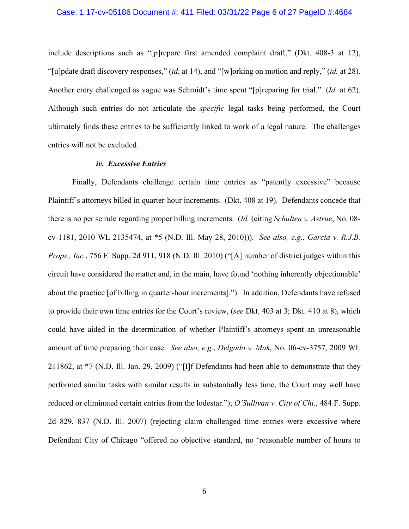#### Case: 1:17-cv-05186 Document #: 411 Filed: 03/31/22 Page 6 of 27 PageID #:4684

include descriptions such as "[p]repare first amended complaint draft," (Dkt. 408-3 at 12), "[u]pdate draft discovery responses," (*id.* at 14), and "[w]orking on motion and reply," (*id.* at 28). Another entry challenged as vague was Schmidt's time spent "[p]reparing for trial." (*Id.* at 62). Although such entries do not articulate the *specific* legal tasks being performed, the Court ultimately finds these entries to be sufficiently linked to work of a legal nature. The challenges entries will not be excluded.

#### *iv. Excessive Entries*

Finally, Defendants challenge certain time entries as "patently excessive" because Plaintiff's attorneys billed in quarter-hour increments. (Dkt. 408 at 19). Defendants concede that there is no per se rule regarding proper billing increments. (*Id.* (citing *Schulten v. Astrue*, No. 08 cv-1181, 2010 WL 2135474, at \*5 (N.D. Ill. May 28, 2010))). *See also, e.g.*, *Garcia v. R.J.B. Props., Inc.*, 756 F. Supp. 2d 911, 918 (N.D. Ill. 2010) ("[A] number of district judges within this circuit have considered the matter and, in the main, have found 'nothing inherently objectionable' about the practice [of billing in quarter-hour increments]."). In addition, Defendants have refused to provide their own time entries for the Court's review, (*see* Dkt. 403 at 3; Dkt. 410 at 8), which could have aided in the determination of whether Plaintiff's attorneys spent an unreasonable amount of time preparing their case. *See also, e.g.*, *Delgado v. Mak*, No. 06-cv-3757, 2009 WL 211862, at \*7 (N.D. Ill. Jan. 29, 2009) ("[I]f Defendants had been able to demonstrate that they performed similar tasks with similar results in substantially less time, the Court may well have reduced or eliminated certain entries from the lodestar."); *O'Sullivan v. City of Chi.*, 484 F. Supp. 2d 829, 837 (N.D. Ill. 2007) (rejecting claim challenged time entries were excessive where Defendant City of Chicago "offered no objective standard, no 'reasonable number of hours to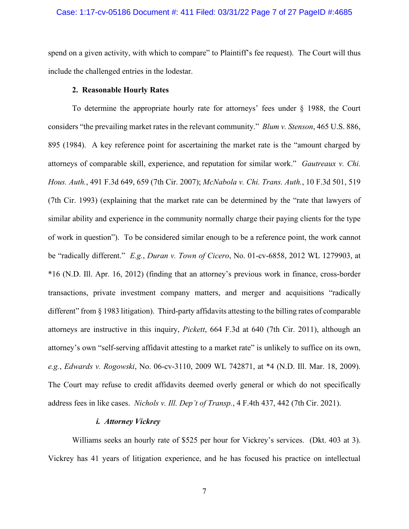#### Case: 1:17-cv-05186 Document #: 411 Filed: 03/31/22 Page 7 of 27 PageID #:4685

spend on a given activity, with which to compare" to Plaintiff's fee request). The Court will thus include the challenged entries in the lodestar.

# **2. Reasonable Hourly Rates**

To determine the appropriate hourly rate for attorneys' fees under § 1988, the Court considers "the prevailing market rates in the relevant community." *Blum v. Stenson*, 465 U.S. 886, 895 (1984). A key reference point for ascertaining the market rate is the "amount charged by attorneys of comparable skill, experience, and reputation for similar work." *Gautreaux v. Chi. Hous. Auth.*, 491 F.3d 649, 659 (7th Cir. 2007); *McNabola v. Chi. Trans. Auth.*, 10 F.3d 501, 519 (7th Cir. 1993) (explaining that the market rate can be determined by the "rate that lawyers of similar ability and experience in the community normally charge their paying clients for the type of work in question"). To be considered similar enough to be a reference point, the work cannot be "radically different." *E.g.*, *Duran v. Town of Cicero*, No. 01-cv-6858, 2012 WL 1279903, at \*16 (N.D. Ill. Apr. 16, 2012) (finding that an attorney's previous work in finance, cross-border transactions, private investment company matters, and merger and acquisitions "radically different" from § 1983 litigation). Third-party affidavits attesting to the billing rates of comparable attorneys are instructive in this inquiry, *Pickett*, 664 F.3d at 640 (7th Cir. 2011), although an attorney's own "self-serving affidavit attesting to a market rate" is unlikely to suffice on its own, *e.g.*, *Edwards v. Rogowski*, No. 06-cv-3110, 2009 WL 742871, at \*4 (N.D. Ill. Mar. 18, 2009). The Court may refuse to credit affidavits deemed overly general or which do not specifically address fees in like cases. *Nichols v. Ill. Dep't of Transp.*, 4 F.4th 437, 442 (7th Cir. 2021).

# *i. Attorney Vickrey*

Williams seeks an hourly rate of \$525 per hour for Vickrey's services. (Dkt. 403 at 3). Vickrey has 41 years of litigation experience, and he has focused his practice on intellectual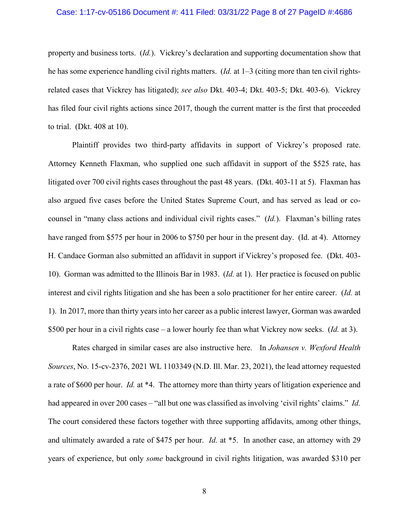#### Case: 1:17-cv-05186 Document #: 411 Filed: 03/31/22 Page 8 of 27 PageID #:4686

property and business torts. (*Id.*). Vickrey's declaration and supporting documentation show that he has some experience handling civil rights matters. (*Id.* at 1–3 (citing more than ten civil rightsrelated cases that Vickrey has litigated); *see also* Dkt. 403-4; Dkt. 403-5; Dkt. 403-6). Vickrey has filed four civil rights actions since 2017, though the current matter is the first that proceeded to trial. (Dkt. 408 at 10).

Plaintiff provides two third-party affidavits in support of Vickrey's proposed rate. Attorney Kenneth Flaxman, who supplied one such affidavit in support of the \$525 rate, has litigated over 700 civil rights cases throughout the past 48 years. (Dkt. 403-11 at 5). Flaxman has also argued five cases before the United States Supreme Court, and has served as lead or cocounsel in "many class actions and individual civil rights cases." (*Id.*). Flaxman's billing rates have ranged from \$575 per hour in 2006 to \$750 per hour in the present day. (Id. at 4). Attorney H. Candace Gorman also submitted an affidavit in support if Vickrey's proposed fee. (Dkt. 403- 10). Gorman was admitted to the Illinois Bar in 1983. (*Id.* at 1). Her practice is focused on public interest and civil rights litigation and she has been a solo practitioner for her entire career. (*Id.* at 1). In 2017, more than thirty years into her career as a public interest lawyer, Gorman was awarded \$500 per hour in a civil rights case – a lower hourly fee than what Vickrey now seeks. (*Id.* at 3).

Rates charged in similar cases are also instructive here. In *Johansen v. Wexford Health Sources*, No. 15-cv-2376, 2021 WL 1103349 (N.D. Ill. Mar. 23, 2021), the lead attorney requested a rate of \$600 per hour. *Id.* at \*4. The attorney more than thirty years of litigation experience and had appeared in over 200 cases – "all but one was classified as involving 'civil rights' claims." *Id.*  The court considered these factors together with three supporting affidavits, among other things, and ultimately awarded a rate of \$475 per hour. *Id.* at \*5. In another case, an attorney with 29 years of experience, but only *some* background in civil rights litigation, was awarded \$310 per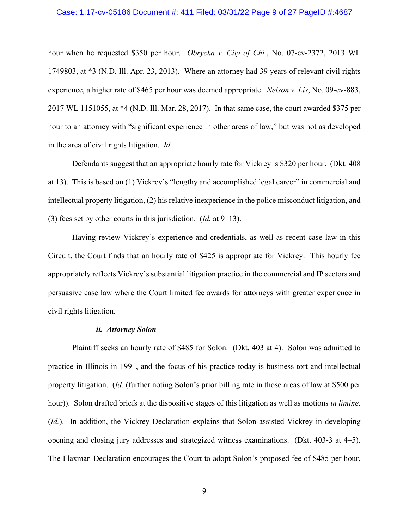#### Case: 1:17-cv-05186 Document #: 411 Filed: 03/31/22 Page 9 of 27 PageID #:4687

hour when he requested \$350 per hour. *Obrycka v. City of Chi.*, No. 07-cv-2372, 2013 WL 1749803, at \*3 (N.D. Ill. Apr. 23, 2013). Where an attorney had 39 years of relevant civil rights experience, a higher rate of \$465 per hour was deemed appropriate. *Nelson v. Lis*, No. 09-cv-883, 2017 WL 1151055, at \*4 (N.D. Ill. Mar. 28, 2017). In that same case, the court awarded \$375 per hour to an attorney with "significant experience in other areas of law," but was not as developed in the area of civil rights litigation. *Id.*

Defendants suggest that an appropriate hourly rate for Vickrey is \$320 per hour. (Dkt. 408 at 13). This is based on (1) Vickrey's "lengthy and accomplished legal career" in commercial and intellectual property litigation, (2) his relative inexperience in the police misconduct litigation, and (3) fees set by other courts in this jurisdiction. (*Id.* at 9–13).

Having review Vickrey's experience and credentials, as well as recent case law in this Circuit, the Court finds that an hourly rate of \$425 is appropriate for Vickrey. This hourly fee appropriately reflects Vickrey's substantial litigation practice in the commercial and IP sectors and persuasive case law where the Court limited fee awards for attorneys with greater experience in civil rights litigation.

#### *ii. Attorney Solon*

Plaintiff seeks an hourly rate of \$485 for Solon. (Dkt. 403 at 4). Solon was admitted to practice in Illinois in 1991, and the focus of his practice today is business tort and intellectual property litigation. (*Id.* (further noting Solon's prior billing rate in those areas of law at \$500 per hour)). Solon drafted briefs at the dispositive stages of this litigation as well as motions *in limine*. (*Id.*). In addition, the Vickrey Declaration explains that Solon assisted Vickrey in developing opening and closing jury addresses and strategized witness examinations. (Dkt. 403-3 at 4–5). The Flaxman Declaration encourages the Court to adopt Solon's proposed fee of \$485 per hour,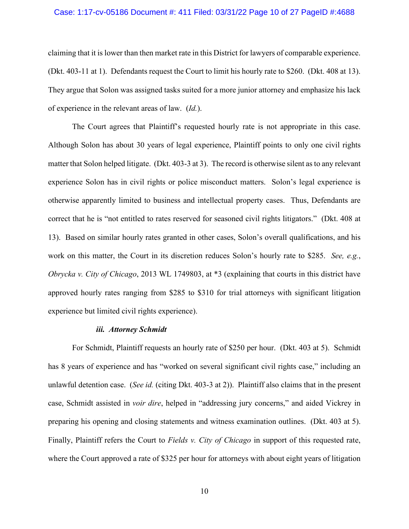#### Case: 1:17-cv-05186 Document #: 411 Filed: 03/31/22 Page 10 of 27 PageID #:4688

claiming that it is lower than then market rate in this District for lawyers of comparable experience. (Dkt. 403-11 at 1). Defendants request the Court to limit his hourly rate to \$260. (Dkt. 408 at 13). They argue that Solon was assigned tasks suited for a more junior attorney and emphasize his lack of experience in the relevant areas of law. (*Id.*).

The Court agrees that Plaintiff's requested hourly rate is not appropriate in this case. Although Solon has about 30 years of legal experience, Plaintiff points to only one civil rights matter that Solon helped litigate. (Dkt. 403-3 at 3). The record is otherwise silent as to any relevant experience Solon has in civil rights or police misconduct matters. Solon's legal experience is otherwise apparently limited to business and intellectual property cases. Thus, Defendants are correct that he is "not entitled to rates reserved for seasoned civil rights litigators." (Dkt. 408 at 13). Based on similar hourly rates granted in other cases, Solon's overall qualifications, and his work on this matter, the Court in its discretion reduces Solon's hourly rate to \$285. *See, e.g.*, *Obrycka v. City of Chicago*, 2013 WL 1749803, at \*3 (explaining that courts in this district have approved hourly rates ranging from \$285 to \$310 for trial attorneys with significant litigation experience but limited civil rights experience).

#### *iii. Attorney Schmidt*

For Schmidt, Plaintiff requests an hourly rate of \$250 per hour. (Dkt. 403 at 5). Schmidt has 8 years of experience and has "worked on several significant civil rights case," including an unlawful detention case. (*See id.* (citing Dkt. 403-3 at 2)). Plaintiff also claims that in the present case, Schmidt assisted in *voir dire*, helped in "addressing jury concerns," and aided Vickrey in preparing his opening and closing statements and witness examination outlines. (Dkt. 403 at 5). Finally, Plaintiff refers the Court to *Fields v. City of Chicago* in support of this requested rate, where the Court approved a rate of \$325 per hour for attorneys with about eight years of litigation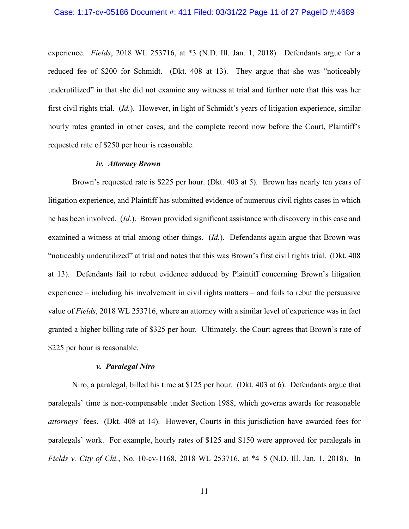experience. *Fields*, 2018 WL 253716, at \*3 (N.D. Ill. Jan. 1, 2018). Defendants argue for a reduced fee of \$200 for Schmidt. (Dkt. 408 at 13). They argue that she was "noticeably underutilized" in that she did not examine any witness at trial and further note that this was her first civil rights trial. (*Id.*). However, in light of Schmidt's years of litigation experience, similar hourly rates granted in other cases, and the complete record now before the Court, Plaintiff's requested rate of \$250 per hour is reasonable.

#### *iv. Attorney Brown*

Brown's requested rate is \$225 per hour. (Dkt. 403 at 5). Brown has nearly ten years of litigation experience, and Plaintiff has submitted evidence of numerous civil rights cases in which he has been involved. (*Id.*). Brown provided significant assistance with discovery in this case and examined a witness at trial among other things. (*Id.*). Defendants again argue that Brown was "noticeably underutilized" at trial and notes that this was Brown's first civil rights trial. (Dkt. 408 at 13). Defendants fail to rebut evidence adduced by Plaintiff concerning Brown's litigation experience – including his involvement in civil rights matters – and fails to rebut the persuasive value of *Fields*, 2018 WL 253716, where an attorney with a similar level of experience was in fact granted a higher billing rate of \$325 per hour. Ultimately, the Court agrees that Brown's rate of \$225 per hour is reasonable.

#### *v. Paralegal Niro*

Niro, a paralegal, billed his time at \$125 per hour. (Dkt. 403 at 6). Defendants argue that paralegals' time is non-compensable under Section 1988, which governs awards for reasonable *attorneys'* fees. (Dkt. 408 at 14). However, Courts in this jurisdiction have awarded fees for paralegals' work. For example, hourly rates of \$125 and \$150 were approved for paralegals in *Fields v. City of Chi.*, No. 10-cv-1168, 2018 WL 253716, at \*4–5 (N.D. Ill. Jan. 1, 2018). In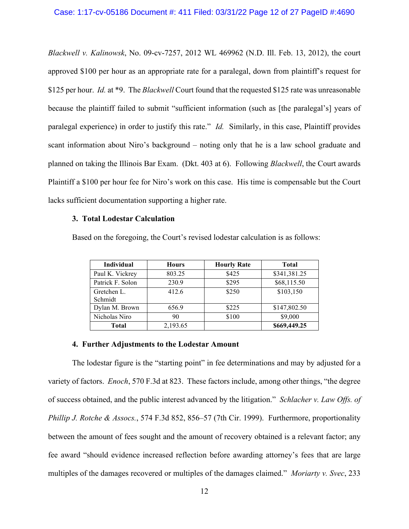*Blackwell v. Kalinowsk*, No. 09-cv-7257, 2012 WL 469962 (N.D. Ill. Feb. 13, 2012), the court approved \$100 per hour as an appropriate rate for a paralegal, down from plaintiff's request for \$125 per hour. *Id.* at \*9. The *Blackwell* Court found that the requested \$125 rate was unreasonable because the plaintiff failed to submit "sufficient information (such as [the paralegal's] years of paralegal experience) in order to justify this rate." *Id.* Similarly, in this case, Plaintiff provides scant information about Niro's background – noting only that he is a law school graduate and planned on taking the Illinois Bar Exam. (Dkt. 403 at 6). Following *Blackwell*, the Court awards Plaintiff a \$100 per hour fee for Niro's work on this case. His time is compensable but the Court lacks sufficient documentation supporting a higher rate.

#### **3. Total Lodestar Calculation**

Based on the foregoing, the Court's revised lodestar calculation is as follows:

| Individual             | <b>Hours</b> | <b>Hourly Rate</b> | <b>Total</b> |
|------------------------|--------------|--------------------|--------------|
| Paul K. Vickrey        | 803.25       | \$425              | \$341,381.25 |
| Patrick F. Solon       | 230.9        | \$295              | \$68,115.50  |
| Gretchen L.<br>Schmidt | 412.6        | \$250              | \$103,150    |
| Dylan M. Brown         | 656.9        | \$225              | \$147,802.50 |
| Nicholas Niro          | 90           | \$100              | \$9,000      |
| <b>Total</b>           | 2,193.65     |                    | \$669,449.25 |

#### **4. Further Adjustments to the Lodestar Amount**

The lodestar figure is the "starting point" in fee determinations and may by adjusted for a variety of factors. *Enoch*, 570 F.3d at 823. These factors include, among other things, "the degree of success obtained, and the public interest advanced by the litigation." *Schlacher v. Law Offs. of Phillip J. Rotche & Assocs.*, 574 F.3d 852, 856–57 (7th Cir. 1999). Furthermore, proportionality between the amount of fees sought and the amount of recovery obtained is a relevant factor; any fee award "should evidence increased reflection before awarding attorney's fees that are large multiples of the damages recovered or multiples of the damages claimed." *Moriarty v. Svec*, 233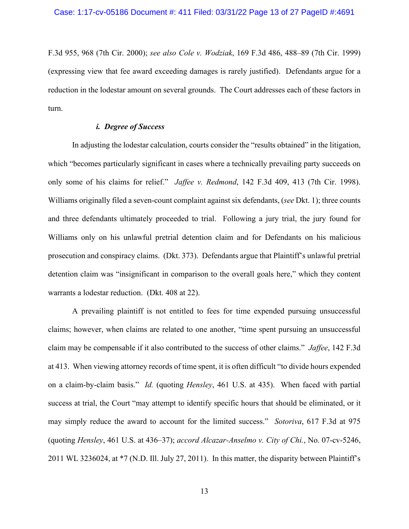F.3d 955, 968 (7th Cir. 2000); *see also Cole v. Wodziak*, 169 F.3d 486, 488–89 (7th Cir. 1999) (expressing view that fee award exceeding damages is rarely justified). Defendants argue for a reduction in the lodestar amount on several grounds. The Court addresses each of these factors in turn.

# *i. Degree of Success*

In adjusting the lodestar calculation, courts consider the "results obtained" in the litigation, which "becomes particularly significant in cases where a technically prevailing party succeeds on only some of his claims for relief." *Jaffee v. Redmond*, 142 F.3d 409, 413 (7th Cir. 1998). Williams originally filed a seven-count complaint against six defendants, (*see* Dkt. 1); three counts and three defendants ultimately proceeded to trial. Following a jury trial, the jury found for Williams only on his unlawful pretrial detention claim and for Defendants on his malicious prosecution and conspiracy claims. (Dkt. 373). Defendants argue that Plaintiff's unlawful pretrial detention claim was "insignificant in comparison to the overall goals here," which they content warrants a lodestar reduction. (Dkt. 408 at 22).

A prevailing plaintiff is not entitled to fees for time expended pursuing unsuccessful claims; however, when claims are related to one another, "time spent pursuing an unsuccessful claim may be compensable if it also contributed to the success of other claims." *Jaffee*, 142 F.3d at 413. When viewing attorney records of time spent, it is often difficult "to divide hours expended on a claim-by-claim basis." *Id.* (quoting *Hensley*, 461 U.S. at 435). When faced with partial success at trial, the Court "may attempt to identify specific hours that should be eliminated, or it may simply reduce the award to account for the limited success." *Sotoriva*, 617 F.3d at 975 (quoting *Hensley*, 461 U.S. at 436–37); *accord Alcazar-Anselmo v. City of Chi.*, No. 07-cv-5246, 2011 WL 3236024, at \*7 (N.D. Ill. July 27, 2011). In this matter, the disparity between Plaintiff's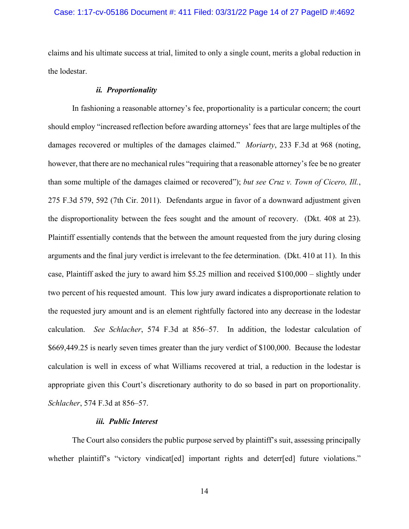#### Case: 1:17-cv-05186 Document #: 411 Filed: 03/31/22 Page 14 of 27 PageID #:4692

claims and his ultimate success at trial, limited to only a single count, merits a global reduction in the lodestar.

### *ii. Proportionality*

In fashioning a reasonable attorney's fee, proportionality is a particular concern; the court should employ "increased reflection before awarding attorneys' fees that are large multiples of the damages recovered or multiples of the damages claimed." *Moriarty*, 233 F.3d at 968 (noting, however, that there are no mechanical rules "requiring that a reasonable attorney's fee be no greater than some multiple of the damages claimed or recovered"); *but see Cruz v. Town of Cicero, Ill.*, 275 F.3d 579, 592 (7th Cir. 2011). Defendants argue in favor of a downward adjustment given the disproportionality between the fees sought and the amount of recovery. (Dkt. 408 at 23). Plaintiff essentially contends that the between the amount requested from the jury during closing arguments and the final jury verdict is irrelevant to the fee determination. (Dkt. 410 at 11). In this case, Plaintiff asked the jury to award him \$5.25 million and received \$100,000 – slightly under two percent of his requested amount. This low jury award indicates a disproportionate relation to the requested jury amount and is an element rightfully factored into any decrease in the lodestar calculation. *See Schlacher*, 574 F.3d at 856–57. In addition, the lodestar calculation of \$669,449.25 is nearly seven times greater than the jury verdict of \$100,000. Because the lodestar calculation is well in excess of what Williams recovered at trial, a reduction in the lodestar is appropriate given this Court's discretionary authority to do so based in part on proportionality. *Schlacher*, 574 F.3d at 856–57.

#### *iii. Public Interest*

The Court also considers the public purpose served by plaintiff's suit, assessing principally whether plaintiff's "victory vindicat[ed] important rights and deterr[ed] future violations."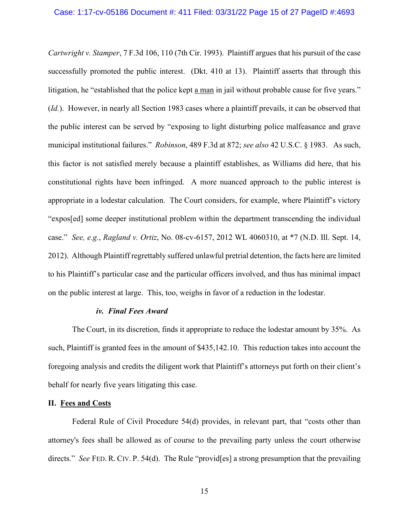*Cartwright v. Stamper*, 7 F.3d 106, 110 (7th Cir. 1993). Plaintiff argues that his pursuit of the case successfully promoted the public interest. (Dkt. 410 at 13). Plaintiff asserts that through this litigation, he "established that the police kept a man in jail without probable cause for five years." (*Id.*). However, in nearly all Section 1983 cases where a plaintiff prevails, it can be observed that the public interest can be served by "exposing to light disturbing police malfeasance and grave municipal institutional failures." *Robinson*, 489 F.3d at 872; *see also* 42 U.S.C. § 1983. As such, this factor is not satisfied merely because a plaintiff establishes, as Williams did here, that his constitutional rights have been infringed. A more nuanced approach to the public interest is appropriate in a lodestar calculation. The Court considers, for example, where Plaintiff's victory "expos[ed] some deeper institutional problem within the department transcending the individual case." *See, e.g.*, *Ragland v. Ortiz*, No. 08-cv-6157, 2012 WL 4060310, at \*7 (N.D. Ill. Sept. 14, 2012). Although Plaintiff regrettably suffered unlawful pretrial detention, the facts here are limited to his Plaintiff's particular case and the particular officers involved, and thus has minimal impact on the public interest at large. This, too, weighs in favor of a reduction in the lodestar.

#### *iv. Final Fees Award*

The Court, in its discretion, finds it appropriate to reduce the lodestar amount by 35%. As such, Plaintiff is granted fees in the amount of \$435,142.10. This reduction takes into account the foregoing analysis and credits the diligent work that Plaintiff's attorneys put forth on their client's behalf for nearly five years litigating this case.

### **II. Fees and Costs**

Federal Rule of Civil Procedure 54(d) provides, in relevant part, that "costs other than attorney's fees shall be allowed as of course to the prevailing party unless the court otherwise directs." *See* FED. R. CIV. P. 54(d). The Rule "provid[es] a strong presumption that the prevailing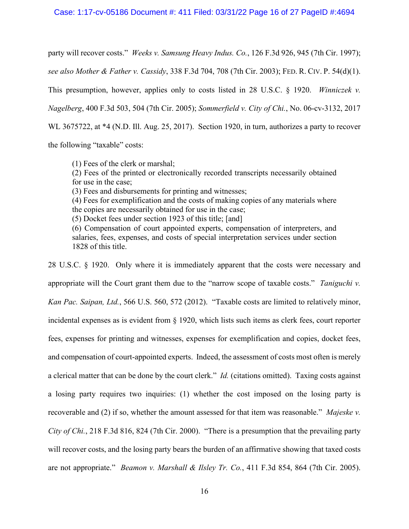#### Case: 1:17-cv-05186 Document #: 411 Filed: 03/31/22 Page 16 of 27 PageID #:4694

party will recover costs." *Weeks v. Samsung Heavy Indus. Co.*, 126 F.3d 926, 945 (7th Cir. 1997); *see also Mother & Father v. Cassidy*, 338 F.3d 704, 708 (7th Cir. 2003); FED. R. CIV. P. 54(d)(1). This presumption, however, applies only to costs listed in 28 U.S.C. § 1920. *Winniczek v. Nagelberg*, 400 F.3d 503, 504 (7th Cir. 2005); *Sommerfield v. City of Chi.*, No. 06-cv-3132, 2017 WL 3675722, at \*4 (N.D. Ill. Aug. 25, 2017). Section 1920, in turn, authorizes a party to recover the following "taxable" costs:

(1) Fees of the clerk or marshal;

- (2) Fees of the printed or electronically recorded transcripts necessarily obtained for use in the case;
- (3) Fees and disbursements for printing and witnesses;

(4) Fees for exemplification and the costs of making copies of any materials where the copies are necessarily obtained for use in the case;

(5) Docket fees under section 1923 of this title; [and]

(6) Compensation of court appointed experts, compensation of interpreters, and salaries, fees, expenses, and costs of special interpretation services under section 1828 of this title.

28 U.S.C. § 1920. Only where it is immediately apparent that the costs were necessary and appropriate will the Court grant them due to the "narrow scope of taxable costs." *Taniguchi v. Kan Pac. Saipan, Ltd.*, 566 U.S. 560, 572 (2012). "Taxable costs are limited to relatively minor, incidental expenses as is evident from § 1920, which lists such items as clerk fees, court reporter fees, expenses for printing and witnesses, expenses for exemplification and copies, docket fees, and compensation of court-appointed experts. Indeed, the assessment of costs most often is merely a clerical matter that can be done by the court clerk." *Id.* (citations omitted). Taxing costs against a losing party requires two inquiries: (1) whether the cost imposed on the losing party is recoverable and (2) if so, whether the amount assessed for that item was reasonable." *Majeske v. City of Chi.*, 218 F.3d 816, 824 (7th Cir. 2000). "There is a presumption that the prevailing party will recover costs, and the losing party bears the burden of an affirmative showing that taxed costs are not appropriate." *Beamon v. Marshall & Ilsley Tr. Co.*, 411 F.3d 854, 864 (7th Cir. 2005).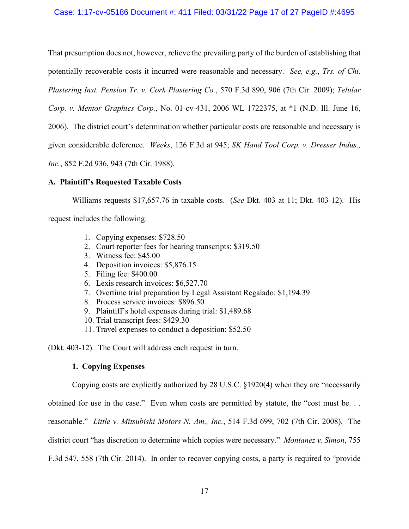# Case: 1:17-cv-05186 Document #: 411 Filed: 03/31/22 Page 17 of 27 PageID #:4695

That presumption does not, however, relieve the prevailing party of the burden of establishing that potentially recoverable costs it incurred were reasonable and necessary. *See, e.g.*, *Trs. of Chi. Plastering Inst. Pension Tr. v. Cork Plastering Co.*, 570 F.3d 890, 906 (7th Cir. 2009); *Telular* 

*Corp. v. Mentor Graphics Corp.*, No. 01-cv-431, 2006 WL 1722375, at \*1 (N.D. Ill. June 16,

2006). The district court's determination whether particular costs are reasonable and necessary is

given considerable deference. *Weeks*, 126 F.3d at 945; *SK Hand Tool Corp. v. Dresser Indus.,* 

*Inc.*, 852 F.2d 936, 943 (7th Cir. 1988).

### **A. Plaintiff's Requested Taxable Costs**

Williams requests \$17,657.76 in taxable costs. (*See* Dkt. 403 at 11; Dkt. 403-12). His

request includes the following:

- 1. Copying expenses: \$728.50
- 2. Court reporter fees for hearing transcripts: \$319.50
- 3. Witness fee: \$45.00
- 4. Deposition invoices: \$5,876.15
- 5. Filing fee: \$400.00
- 6. Lexis research invoices: \$6,527.70
- 7. Overtime trial preparation by Legal Assistant Regalado: \$1,194.39
- 8. Process service invoices: \$896.50
- 9. Plaintiff's hotel expenses during trial: \$1,489.68
- 10. Trial transcript fees: \$429.30
- 11. Travel expenses to conduct a deposition: \$52.50

(Dkt. 403-12). The Court will address each request in turn.

## **1. Copying Expenses**

Copying costs are explicitly authorized by 28 U.S.C. §1920(4) when they are "necessarily obtained for use in the case." Even when costs are permitted by statute, the "cost must be. . . reasonable." *Little v. Mitsubishi Motors N. Am., Inc.*, 514 F.3d 699, 702 (7th Cir. 2008). The district court "has discretion to determine which copies were necessary." *Montanez v. Simon*, 755 F.3d 547, 558 (7th Cir. 2014). In order to recover copying costs, a party is required to "provide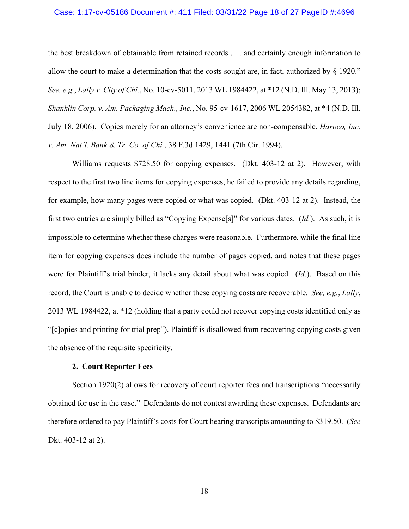#### Case: 1:17-cv-05186 Document #: 411 Filed: 03/31/22 Page 18 of 27 PageID #:4696

the best breakdown of obtainable from retained records . . . and certainly enough information to allow the court to make a determination that the costs sought are, in fact, authorized by § 1920." *See, e.g.*, *Lally v. City of Chi.*, No. 10-cv-5011, 2013 WL 1984422, at \*12 (N.D. Ill. May 13, 2013); *Shanklin Corp. v. Am. Packaging Mach., Inc.*, No. 95-cv-1617, 2006 WL 2054382, at \*4 (N.D. Ill. July 18, 2006). Copies merely for an attorney's convenience are non-compensable. *Haroco, Inc. v. Am. Nat'l. Bank & Tr. Co. of Chi.*, 38 F.3d 1429, 1441 (7th Cir. 1994).

Williams requests \$728.50 for copying expenses. (Dkt. 403-12 at 2). However, with respect to the first two line items for copying expenses, he failed to provide any details regarding, for example, how many pages were copied or what was copied. (Dkt. 403-12 at 2). Instead, the first two entries are simply billed as "Copying Expense[s]" for various dates. (*Id.*). As such, it is impossible to determine whether these charges were reasonable. Furthermore, while the final line item for copying expenses does include the number of pages copied, and notes that these pages were for Plaintiff's trial binder, it lacks any detail about what was copied. (*Id.*). Based on this record, the Court is unable to decide whether these copying costs are recoverable. *See, e.g.*, *Lally*, 2013 WL 1984422, at \*12 (holding that a party could not recover copying costs identified only as "[c]opies and printing for trial prep"). Plaintiff is disallowed from recovering copying costs given the absence of the requisite specificity.

#### **2. Court Reporter Fees**

Section 1920(2) allows for recovery of court reporter fees and transcriptions "necessarily obtained for use in the case." Defendants do not contest awarding these expenses. Defendants are therefore ordered to pay Plaintiff's costs for Court hearing transcripts amounting to \$319.50. (*See* Dkt. 403-12 at 2).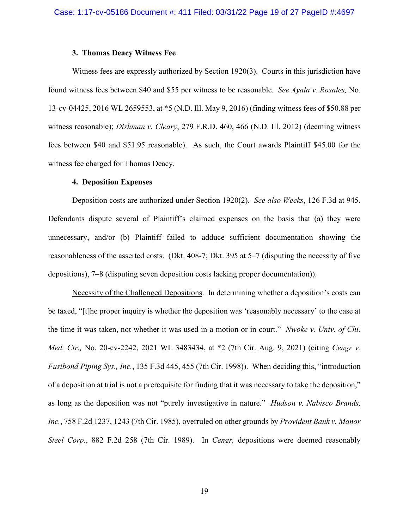#### **3. Thomas Deacy Witness Fee**

Witness fees are expressly authorized by Section 1920(3). Courts in this jurisdiction have found witness fees between \$40 and \$55 per witness to be reasonable. *See Ayala v. Rosales,* No. 13-cv-04425, 2016 WL 2659553, at \*5 (N.D. Ill. May 9, 2016) (finding witness fees of \$50.88 per witness reasonable); *Dishman v. Cleary*, 279 F.R.D. 460, 466 (N.D. Ill. 2012) (deeming witness fees between \$40 and \$51.95 reasonable). As such, the Court awards Plaintiff \$45.00 for the witness fee charged for Thomas Deacy.

#### **4. Deposition Expenses**

Deposition costs are authorized under Section 1920(2). *See also Weeks*, 126 F.3d at 945. Defendants dispute several of Plaintiff's claimed expenses on the basis that (a) they were unnecessary, and/or (b) Plaintiff failed to adduce sufficient documentation showing the reasonableness of the asserted costs. (Dkt. 408-7; Dkt. 395 at 5–7 (disputing the necessity of five depositions), 7–8 (disputing seven deposition costs lacking proper documentation)).

Necessity of the Challenged Depositions. In determining whether a deposition's costs can be taxed, "[t]he proper inquiry is whether the deposition was 'reasonably necessary' to the case at the time it was taken, not whether it was used in a motion or in court." *Nwoke v. Univ. of Chi. Med. Ctr.,* No. 20-cv-2242, 2021 WL 3483434, at \*2 (7th Cir. Aug. 9, 2021) (citing *Cengr v. Fusibond Piping Sys., Inc.*, 135 F.3d 445, 455 (7th Cir. 1998)). When deciding this, "introduction of a deposition at trial is not a prerequisite for finding that it was necessary to take the deposition," as long as the deposition was not "purely investigative in nature." *Hudson v. Nabisco Brands, Inc.*, 758 F.2d 1237, 1243 (7th Cir. 1985), overruled on other grounds by *Provident Bank v. Manor Steel Corp.*, 882 F.2d 258 (7th Cir. 1989). In *Cengr,* depositions were deemed reasonably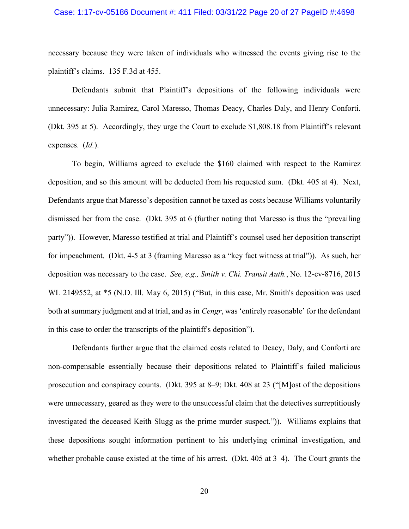#### Case: 1:17-cv-05186 Document #: 411 Filed: 03/31/22 Page 20 of 27 PageID #:4698

necessary because they were taken of individuals who witnessed the events giving rise to the plaintiff's claims. 135 F.3d at 455.

Defendants submit that Plaintiff's depositions of the following individuals were unnecessary: Julia Ramirez, Carol Maresso, Thomas Deacy, Charles Daly, and Henry Conforti. (Dkt. 395 at 5). Accordingly, they urge the Court to exclude \$1,808.18 from Plaintiff's relevant expenses. (*Id.*).

To begin, Williams agreed to exclude the \$160 claimed with respect to the Ramirez deposition, and so this amount will be deducted from his requested sum. (Dkt. 405 at 4). Next, Defendants argue that Maresso's deposition cannot be taxed as costs because Williams voluntarily dismissed her from the case. (Dkt. 395 at 6 (further noting that Maresso is thus the "prevailing party")). However, Maresso testified at trial and Plaintiff's counsel used her deposition transcript for impeachment. (Dkt. 4-5 at 3 (framing Maresso as a "key fact witness at trial")). As such, her deposition was necessary to the case. *See, e.g., Smith v. Chi. Transit Auth.*, No. 12-cv-8716, 2015 WL 2149552, at \*5 (N.D. Ill. May 6, 2015) ("But, in this case, Mr. Smith's deposition was used both at summary judgment and at trial, and as in *Cengr*, was 'entirely reasonable' for the defendant in this case to order the transcripts of the plaintiff's deposition").

Defendants further argue that the claimed costs related to Deacy, Daly, and Conforti are non-compensable essentially because their depositions related to Plaintiff's failed malicious prosecution and conspiracy counts. (Dkt. 395 at 8–9; Dkt. 408 at 23 ("[M]ost of the depositions were unnecessary, geared as they were to the unsuccessful claim that the detectives surreptitiously investigated the deceased Keith Slugg as the prime murder suspect.")). Williams explains that these depositions sought information pertinent to his underlying criminal investigation, and whether probable cause existed at the time of his arrest. (Dkt. 405 at 3–4). The Court grants the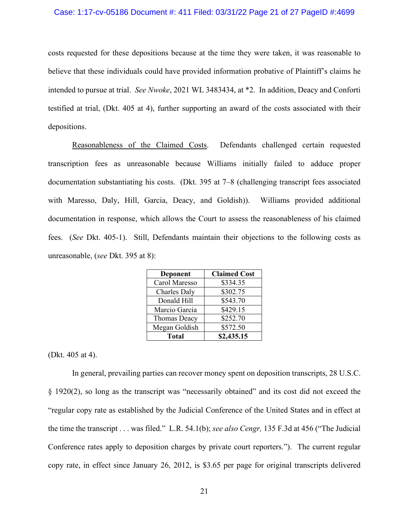#### Case: 1:17-cv-05186 Document #: 411 Filed: 03/31/22 Page 21 of 27 PageID #:4699

costs requested for these depositions because at the time they were taken, it was reasonable to believe that these individuals could have provided information probative of Plaintiff's claims he intended to pursue at trial. *See Nwoke*, 2021 WL 3483434, at \*2. In addition, Deacy and Conforti testified at trial, (Dkt. 405 at 4), further supporting an award of the costs associated with their depositions.

Reasonableness of the Claimed Costs. Defendants challenged certain requested transcription fees as unreasonable because Williams initially failed to adduce proper documentation substantiating his costs. (Dkt. 395 at 7–8 (challenging transcript fees associated with Maresso, Daly, Hill, Garcia, Deacy, and Goldish)). Williams provided additional documentation in response, which allows the Court to assess the reasonableness of his claimed fees. (*See* Dkt. 405-1). Still, Defendants maintain their objections to the following costs as unreasonable, (*see* Dkt. 395 at 8):

| <b>Deponent</b> | <b>Claimed Cost</b> |
|-----------------|---------------------|
| Carol Maresso   | \$334.35            |
| Charles Daly    | \$302.75            |
| Donald Hill     | \$543.70            |
| Marcio Garcia   | \$429.15            |
| Thomas Deacy    | \$252.70            |
| Megan Goldish   | \$572.50            |
| <b>Total</b>    | \$2,435.15          |

(Dkt. 405 at 4).

In general, prevailing parties can recover money spent on deposition transcripts, 28 U.S.C. § 1920(2), so long as the transcript was "necessarily obtained" and its cost did not exceed the "regular copy rate as established by the Judicial Conference of the United States and in effect at the time the transcript . . . was filed." L.R. 54.1(b); *see also Cengr,* 135 F.3d at 456 ("The Judicial Conference rates apply to deposition charges by private court reporters."). The current regular copy rate, in effect since January 26, 2012, is \$3.65 per page for original transcripts delivered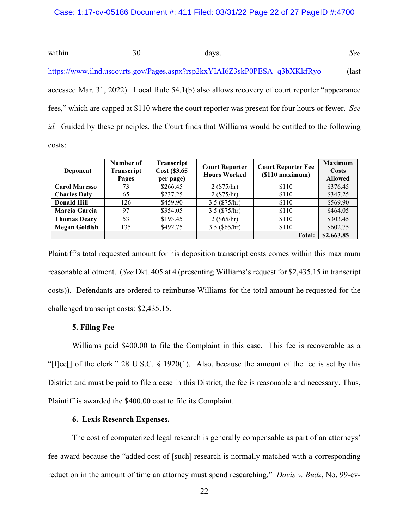within 30 days. See <https://www.ilnd.uscourts.gov/Pages.aspx?rsp2kxYIAI6Z3skP0PESA+q3bXKkfRyo> (last accessed Mar. 31, 2022). Local Rule 54.1(b) also allows recovery of court reporter "appearance fees," which are capped at \$110 where the court reporter was present for four hours or fewer. *See id.* Guided by these principles, the Court finds that Williams would be entitled to the following costs:

| Deponent             | Number of<br>Transcript<br>Pages | Transcript<br>Cost (\$3.65<br>per page) | <b>Court Reporter</b><br><b>Hours Worked</b> | <b>Court Reporter Fee</b><br>$(S110$ maximum) | <b>Maximum</b><br>Costs<br><b>Allowed</b> |
|----------------------|----------------------------------|-----------------------------------------|----------------------------------------------|-----------------------------------------------|-------------------------------------------|
| <b>Carol Maresso</b> | 73                               | \$266.45                                | $2 (\$75/hr)$                                | \$110                                         | \$376.45                                  |
| <b>Charles Daly</b>  | 65                               | \$237.25                                | $2 (\$75/hr)$                                | \$110                                         | \$347.25                                  |
| <b>Donald Hill</b>   | 126                              | \$459.90                                | $3.5$ (\$75/hr)                              | \$110                                         | \$569.90                                  |
| <b>Marcio Garcia</b> | 97                               | \$354.05                                | $3.5$ (\$75/hr)                              | \$110                                         | \$464.05                                  |
| <b>Thomas Deacy</b>  | 53                               | \$193.45                                | $2 ($ \$65/hr)                               | \$110                                         | \$303.45                                  |
| <b>Megan Goldish</b> | 135                              | \$492.75                                | $3.5$ (\$65/hr)                              | \$110                                         | \$602.75                                  |
|                      |                                  |                                         |                                              | Total:                                        | \$2,663.85                                |

Plaintiff's total requested amount for his deposition transcript costs comes within this maximum reasonable allotment. (*See* Dkt. 405 at 4 (presenting Williams's request for \$2,435.15 in transcript costs)). Defendants are ordered to reimburse Williams for the total amount he requested for the challenged transcript costs: \$2,435.15.

### **5. Filing Fee**

Williams paid \$400.00 to file the Complaint in this case. This fee is recoverable as a "[f]ee[] of the clerk." 28 U.S.C. § 1920(1). Also, because the amount of the fee is set by this District and must be paid to file a case in this District, the fee is reasonable and necessary. Thus, Plaintiff is awarded the \$400.00 cost to file its Complaint.

### **6. Lexis Research Expenses.**

The cost of computerized legal research is generally compensable as part of an attorneys' fee award because the "added cost of [such] research is normally matched with a corresponding reduction in the amount of time an attorney must spend researching." *Davis v. Budz*, No. 99-cv-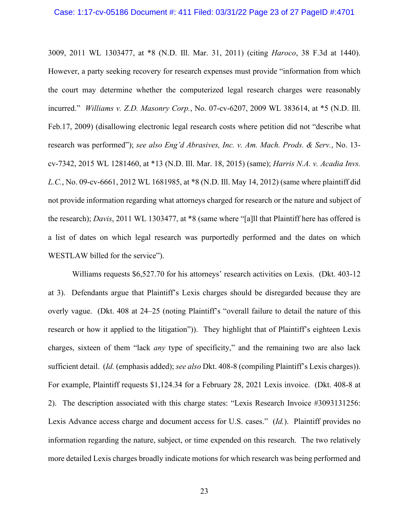#### Case: 1:17-cv-05186 Document #: 411 Filed: 03/31/22 Page 23 of 27 PageID #:4701

3009, 2011 WL 1303477, at \*8 (N.D. Ill. Mar. 31, 2011) (citing *Haroco*, 38 F.3d at 1440). However, a party seeking recovery for research expenses must provide "information from which the court may determine whether the computerized legal research charges were reasonably incurred." *Williams v. Z.D. Masonry Corp.*, No. 07-cv-6207, 2009 WL 383614, at \*5 (N.D. Ill. Feb.17, 2009) (disallowing electronic legal research costs where petition did not "describe what research was performed"); *see also Eng'd Abrasives, Inc. v. Am. Mach. Prods. & Serv.*, No. 13 cv-7342, 2015 WL 1281460, at \*13 (N.D. Ill. Mar. 18, 2015) (same); *Harris N.A. v. Acadia Invs. L.C.*, No. 09-cv-6661, 2012 WL 1681985, at \*8 (N.D. Ill. May 14, 2012) (same where plaintiff did not provide information regarding what attorneys charged for research or the nature and subject of the research); *Davis*, 2011 WL 1303477, at \*8 (same where "[a]ll that Plaintiff here has offered is a list of dates on which legal research was purportedly performed and the dates on which WESTLAW billed for the service").

Williams requests \$6,527.70 for his attorneys' research activities on Lexis. (Dkt. 403-12 at 3). Defendants argue that Plaintiff's Lexis charges should be disregarded because they are overly vague. (Dkt. 408 at 24–25 (noting Plaintiff's "overall failure to detail the nature of this research or how it applied to the litigation")). They highlight that of Plaintiff's eighteen Lexis charges, sixteen of them "lack *any* type of specificity," and the remaining two are also lack sufficient detail. (*Id.* (emphasis added); *see also* Dkt. 408-8 (compiling Plaintiff's Lexis charges)). For example, Plaintiff requests \$1,124.34 for a February 28, 2021 Lexis invoice. (Dkt. 408-8 at 2). The description associated with this charge states: "Lexis Research Invoice #3093131256: Lexis Advance access charge and document access for U.S. cases." (*Id.*). Plaintiff provides no information regarding the nature, subject, or time expended on this research. The two relatively more detailed Lexis charges broadly indicate motions for which research was being performed and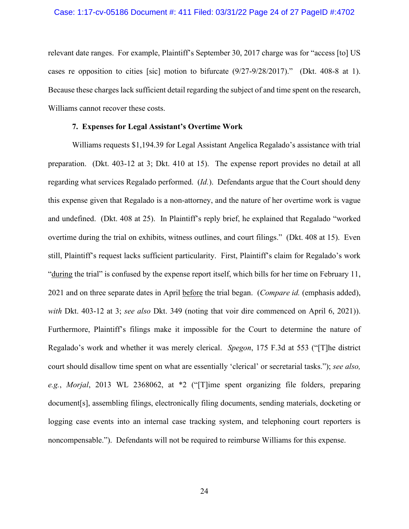#### Case: 1:17-cv-05186 Document #: 411 Filed: 03/31/22 Page 24 of 27 PageID #:4702

relevant date ranges. For example, Plaintiff's September 30, 2017 charge was for "access [to] US cases re opposition to cities [sic] motion to bifurcate (9/27-9/28/2017)." (Dkt. 408-8 at 1). Because these charges lack sufficient detail regarding the subject of and time spent on the research, Williams cannot recover these costs.

#### **7. Expenses for Legal Assistant's Overtime Work**

Williams requests \$1,194.39 for Legal Assistant Angelica Regalado's assistance with trial preparation. (Dkt. 403-12 at 3; Dkt. 410 at 15). The expense report provides no detail at all regarding what services Regalado performed. (*Id.*). Defendants argue that the Court should deny this expense given that Regalado is a non-attorney, and the nature of her overtime work is vague and undefined. (Dkt. 408 at 25). In Plaintiff's reply brief, he explained that Regalado "worked overtime during the trial on exhibits, witness outlines, and court filings." (Dkt. 408 at 15). Even still, Plaintiff's request lacks sufficient particularity. First, Plaintiff's claim for Regalado's work "during the trial" is confused by the expense report itself, which bills for her time on February 11, 2021 and on three separate dates in April before the trial began. (*Compare id.* (emphasis added), *with* Dkt. 403-12 at 3; *see also* Dkt. 349 (noting that voir dire commenced on April 6, 2021)). Furthermore, Plaintiff's filings make it impossible for the Court to determine the nature of Regalado's work and whether it was merely clerical. *Spegon*, 175 F.3d at 553 ("[T]he district court should disallow time spent on what are essentially 'clerical' or secretarial tasks."); *see also, e.g.*, *Morjal*, 2013 WL 2368062, at \*2 ("[T]ime spent organizing file folders, preparing document[s], assembling filings, electronically filing documents, sending materials, docketing or logging case events into an internal case tracking system, and telephoning court reporters is noncompensable."). Defendants will not be required to reimburse Williams for this expense.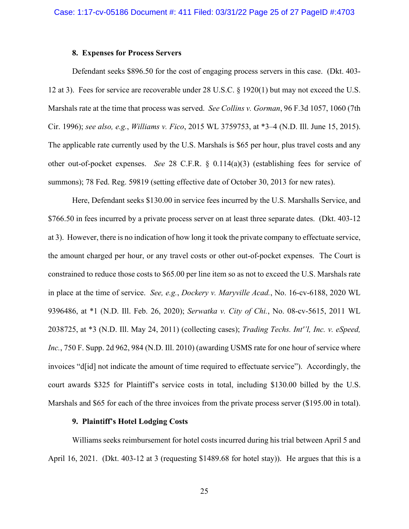#### **8. Expenses for Process Servers**

Defendant seeks \$896.50 for the cost of engaging process servers in this case. (Dkt. 403- 12 at 3). Fees for service are recoverable under 28 U.S.C. § 1920(1) but may not exceed the U.S. Marshals rate at the time that process was served. *See Collins v. Gorman*, 96 F.3d 1057, 1060 (7th Cir. 1996); *see also, e.g.*, *Williams v. Fico*, 2015 WL 3759753, at \*3–4 (N.D. Ill. June 15, 2015). The applicable rate currently used by the U.S. Marshals is \$65 per hour, plus travel costs and any other out-of-pocket expenses. *See* 28 C.F.R. § 0.114(a)(3) (establishing fees for service of summons); 78 Fed. Reg. 59819 (setting effective date of October 30, 2013 for new rates).

Here, Defendant seeks \$130.00 in service fees incurred by the U.S. Marshalls Service, and \$766.50 in fees incurred by a private process server on at least three separate dates. (Dkt. 403-12) at 3). However, there is no indication of how long it took the private company to effectuate service, the amount charged per hour, or any travel costs or other out-of-pocket expenses. The Court is constrained to reduce those costs to \$65.00 per line item so as not to exceed the U.S. Marshals rate in place at the time of service. *See, e.g.*, *Dockery v. Maryville Acad.*, No. 16-cv-6188, 2020 WL 9396486, at \*1 (N.D. Ill. Feb. 26, 2020); *Serwatka v. City of Chi.*, No. 08-cv-5615, 2011 WL 2038725, at \*3 (N.D. Ill. May 24, 2011) (collecting cases); *Trading Techs. Int''l, Inc. v. eSpeed, Inc.*, 750 F. Supp. 2d 962, 984 (N.D. Ill. 2010) (awarding USMS rate for one hour of service where invoices "d[id] not indicate the amount of time required to effectuate service"). Accordingly, the court awards \$325 for Plaintiff's service costs in total, including \$130.00 billed by the U.S. Marshals and \$65 for each of the three invoices from the private process server (\$195.00 in total).

#### **9. Plaintiff's Hotel Lodging Costs**

Williams seeks reimbursement for hotel costs incurred during his trial between April 5 and April 16, 2021. (Dkt. 403-12 at 3 (requesting \$1489.68 for hotel stay)). He argues that this is a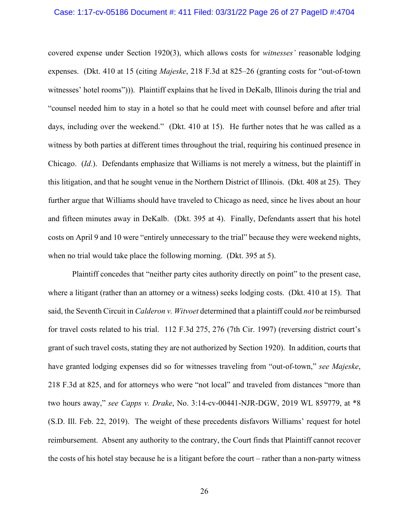#### Case: 1:17-cv-05186 Document #: 411 Filed: 03/31/22 Page 26 of 27 PageID #:4704

covered expense under Section 1920(3), which allows costs for *witnesses'* reasonable lodging expenses. (Dkt. 410 at 15 (citing *Majeske*, 218 F.3d at 825–26 (granting costs for "out-of-town witnesses' hotel rooms"))). Plaintiff explains that he lived in DeKalb, Illinois during the trial and "counsel needed him to stay in a hotel so that he could meet with counsel before and after trial days, including over the weekend." (Dkt. 410 at 15). He further notes that he was called as a witness by both parties at different times throughout the trial, requiring his continued presence in Chicago. (*Id.*). Defendants emphasize that Williams is not merely a witness, but the plaintiff in this litigation, and that he sought venue in the Northern District of Illinois. (Dkt. 408 at 25). They further argue that Williams should have traveled to Chicago as need, since he lives about an hour and fifteen minutes away in DeKalb. (Dkt. 395 at 4). Finally, Defendants assert that his hotel costs on April 9 and 10 were "entirely unnecessary to the trial" because they were weekend nights, when no trial would take place the following morning. (Dkt. 395 at 5).

Plaintiff concedes that "neither party cites authority directly on point" to the present case, where a litigant (rather than an attorney or a witness) seeks lodging costs. (Dkt. 410 at 15). That said, the Seventh Circuit in *Calderon v. Witvoet* determined that a plaintiff could *not* be reimbursed for travel costs related to his trial. 112 F.3d 275, 276 (7th Cir. 1997) (reversing district court's grant of such travel costs, stating they are not authorized by Section 1920). In addition, courts that have granted lodging expenses did so for witnesses traveling from "out-of-town," *see Majeske*, 218 F.3d at 825, and for attorneys who were "not local" and traveled from distances "more than two hours away," *see Capps v. Drake*, No. 3:14-cv-00441-NJR-DGW, 2019 WL 859779, at \*8 (S.D. Ill. Feb. 22, 2019). The weight of these precedents disfavors Williams' request for hotel reimbursement. Absent any authority to the contrary, the Court finds that Plaintiff cannot recover the costs of his hotel stay because he is a litigant before the court – rather than a non-party witness